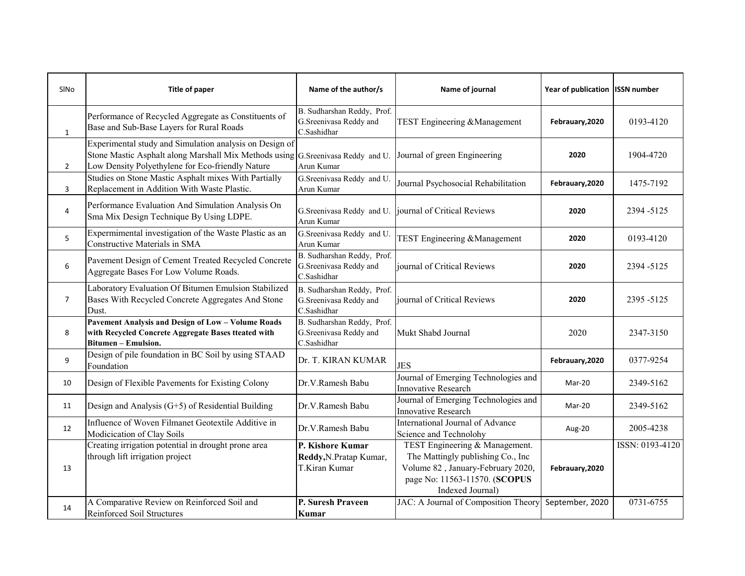| SINO           | <b>Title of paper</b>                                                                                                                                                                           | Name of the author/s                                                | Name of journal                                                                                                                                                | Year of publication   ISSN number |                 |
|----------------|-------------------------------------------------------------------------------------------------------------------------------------------------------------------------------------------------|---------------------------------------------------------------------|----------------------------------------------------------------------------------------------------------------------------------------------------------------|-----------------------------------|-----------------|
| $\mathbf{1}$   | Performance of Recycled Aggregate as Constituents of<br>Base and Sub-Base Layers for Rural Roads                                                                                                | B. Sudharshan Reddy, Prof.<br>G.Sreenivasa Reddy and<br>C.Sashidhar | TEST Engineering & Management                                                                                                                                  | Febrauary, 2020                   | 0193-4120       |
| $\overline{2}$ | Experimental study and Simulation analysis on Design of<br>Stone Mastic Asphalt along Marshall Mix Methods using G. Sreenivasa Reddy and U.<br>Low Density Polyethylene for Eco-friendly Nature | Arun Kumar                                                          | Journal of green Engineering                                                                                                                                   | 2020                              | 1904-4720       |
| 3              | Studies on Stone Mastic Asphalt mixes With Partially<br>Replacement in Addition With Waste Plastic.                                                                                             | G.Sreenivasa Reddy and U.<br>Arun Kumar                             | Journal Psychosocial Rehabilitation                                                                                                                            | Febrauary, 2020                   | 1475-7192       |
| 4              | Performance Evaluation And Simulation Analysis On<br>Sma Mix Design Technique By Using LDPE.                                                                                                    | G.Sreenivasa Reddy and U.<br>Arun Kumar                             | journal of Critical Reviews                                                                                                                                    | 2020                              | 2394 - 5125     |
| 5              | Expermimental investigation of the Waste Plastic as an<br>Constructive Materials in SMA                                                                                                         | G.Sreenivasa Reddy and U.<br>Arun Kumar                             | TEST Engineering & Management                                                                                                                                  | 2020                              | 0193-4120       |
| 6              | Pavement Design of Cement Treated Recycled Concrete<br>Aggregate Bases For Low Volume Roads.                                                                                                    | B. Sudharshan Reddy, Prof.<br>G.Sreenivasa Reddy and<br>C.Sashidhar | journal of Critical Reviews                                                                                                                                    | 2020                              | 2394-5125       |
| $\overline{7}$ | Laboratory Evaluation Of Bitumen Emulsion Stabilized<br>Bases With Recycled Concrete Aggregates And Stone<br>Dust.                                                                              | B. Sudharshan Reddy, Prof.<br>G.Sreenivasa Reddy and<br>C.Sashidhar | journal of Critical Reviews                                                                                                                                    | 2020                              | 2395-5125       |
| 8              | <b>Pavement Analysis and Design of Low-Volume Roads</b><br>with Recycled Concrete Aggregate Bases tteated with<br>Bitumen - Emulsion.                                                           | B. Sudharshan Reddy, Prof.<br>G.Sreenivasa Reddy and<br>C.Sashidhar | Mukt Shabd Journal                                                                                                                                             | 2020                              | 2347-3150       |
| 9              | Design of pile foundation in BC Soil by using STAAD<br>Foundation                                                                                                                               | Dr. T. KIRAN KUMAR                                                  | <b>JES</b>                                                                                                                                                     | Febrauary, 2020                   | 0377-9254       |
| 10             | Design of Flexible Pavements for Existing Colony                                                                                                                                                | Dr.V.Ramesh Babu                                                    | Journal of Emerging Technologies and<br>Innovative Research                                                                                                    | Mar-20                            | 2349-5162       |
| 11             | Design and Analysis $(G+5)$ of Residential Building                                                                                                                                             | Dr.V.Ramesh Babu                                                    | Journal of Emerging Technologies and<br><b>Innovative Research</b>                                                                                             | Mar-20                            | 2349-5162       |
| 12             | Influence of Woven Filmanet Geotextile Additive in<br>Modicication of Clay Soils                                                                                                                | Dr.V.Ramesh Babu                                                    | International Journal of Advance<br>Science and Technolohy                                                                                                     | Aug-20                            | 2005-4238       |
| 13             | Creating irrigation potential in drought prone area<br>through lift irrigation project                                                                                                          | P. Kishore Kumar<br>Reddy, N. Pratap Kumar,<br>T.Kiran Kumar        | TEST Engineering & Management.<br>The Mattingly publishing Co., Inc.<br>Volume 82, January-February 2020,<br>page No: 11563-11570. (SCOPUS<br>Indexed Journal) | Febrauary, 2020                   | ISSN: 0193-4120 |
| 14             | A Comparative Review on Reinforced Soil and<br>Reinforced Soil Structures                                                                                                                       | P. Suresh Praveen<br>Kumar                                          | JAC: A Journal of Composition Theory                                                                                                                           | September, 2020                   | 0731-6755       |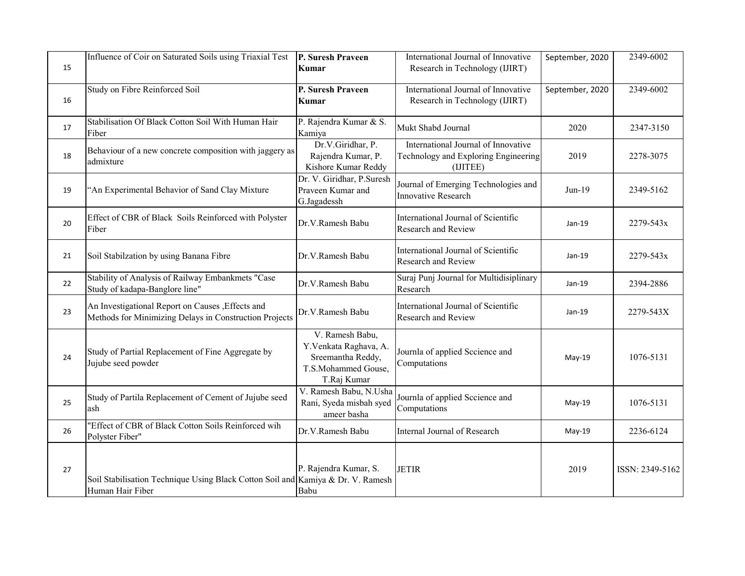| 15 | Influence of Coir on Saturated Soils using Triaxial Test                                                    | P. Suresh Praveen<br>Kumar                                                                          | International Journal of Innovative<br>Research in Technology (IJIRT)                   | September, 2020 | 2349-6002       |
|----|-------------------------------------------------------------------------------------------------------------|-----------------------------------------------------------------------------------------------------|-----------------------------------------------------------------------------------------|-----------------|-----------------|
| 16 | Study on Fibre Reinforced Soil                                                                              | P. Suresh Praveen<br>Kumar                                                                          | International Journal of Innovative<br>Research in Technology (IJIRT)                   | September, 2020 | 2349-6002       |
| 17 | Stabilisation Of Black Cotton Soil With Human Hair<br>Fiber                                                 | P. Rajendra Kumar & S.<br>Kamiya                                                                    | Mukt Shabd Journal                                                                      | 2020            | 2347-3150       |
| 18 | Behaviour of a new concrete composition with jaggery as<br>admixture                                        | Dr.V.Giridhar, P.<br>Rajendra Kumar, P.<br>Kishore Kumar Reddy                                      | International Journal of Innovative<br>Technology and Exploring Engineering<br>(IJITEE) | 2019            | 2278-3075       |
| 19 | "An Experimental Behavior of Sand Clay Mixture                                                              | Dr. V. Giridhar, P. Suresh<br>Praveen Kumar and<br>G.Jagadessh                                      | Journal of Emerging Technologies and<br>Innovative Research                             | $Jun-19$        | 2349-5162       |
| 20 | Effect of CBR of Black Soils Reinforced with Polyster<br>Fiber                                              | Dr.V.Ramesh Babu                                                                                    | International Journal of Scientific<br>Research and Review                              | Jan-19          | 2279-543x       |
| 21 | Soil Stabilzation by using Banana Fibre                                                                     | Dr.V.Ramesh Babu                                                                                    | International Journal of Scientific<br><b>Research and Review</b>                       | Jan-19          | 2279-543x       |
| 22 | Stability of Analysis of Railway Embankmets "Case<br>Study of kadapa-Banglore line"                         | Dr.V.Ramesh Babu                                                                                    | Suraj Punj Journal for Multidisiplinary<br>Research                                     | Jan-19          | 2394-2886       |
| 23 | An Investigational Report on Causes , Effects and<br>Methods for Minimizing Delays in Construction Projects | Dr.V.Ramesh Babu                                                                                    | International Journal of Scientific<br>Research and Review                              | $Jan-19$        | 2279-543X       |
| 24 | Study of Partial Replacement of Fine Aggregate by<br>Jujube seed powder                                     | V. Ramesh Babu,<br>Y.Venkata Raghava, A.<br>Sreemantha Reddy,<br>T.S.Mohammed Gouse,<br>T.Raj Kumar | Journla of applied Sccience and<br>Computations                                         | $May-19$        | 1076-5131       |
| 25 | Study of Partila Replacement of Cement of Jujube seed<br>ash                                                | V. Ramesh Babu, N.Usha<br>Rani, Syeda misbah syed<br>ameer basha                                    | Journla of applied Sccience and<br>Computations                                         | May-19          | 1076-5131       |
| 26 | "Effect of CBR of Black Cotton Soils Reinforced wih<br>Polyster Fiber"                                      | Dr.V.Ramesh Babu                                                                                    | Internal Journal of Research                                                            | May-19          | 2236-6124       |
| 27 | Soil Stabilisation Technique Using Black Cotton Soil and Kamiya & Dr. V. Ramesh<br>Human Hair Fiber         | P. Rajendra Kumar, S.<br>Babu                                                                       | <b>JETIR</b>                                                                            | 2019            | ISSN: 2349-5162 |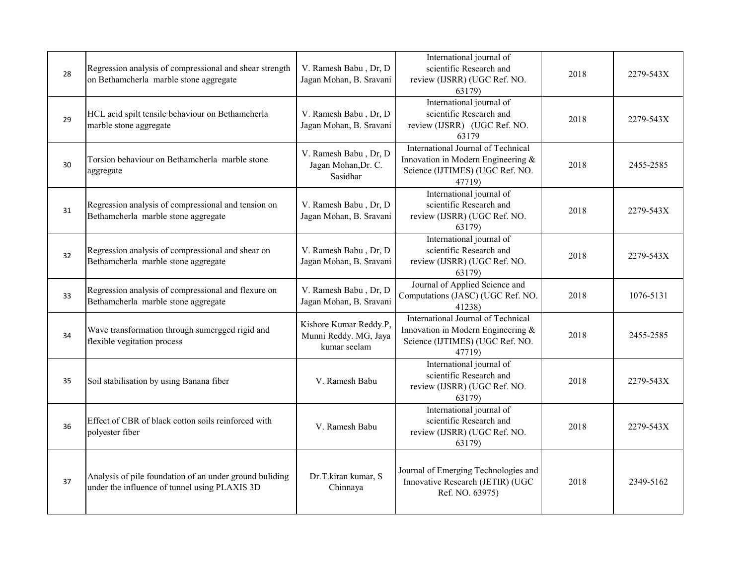| 28 | Regression analysis of compressional and shear strength<br>on Bethamcherla marble stone aggregate        | V. Ramesh Babu, Dr, D<br>Jagan Mohan, B. Sravani                | International journal of<br>scientific Research and<br>review (IJSRR) (UGC Ref. NO.<br>63179)                         | 2018 | 2279-543X |
|----|----------------------------------------------------------------------------------------------------------|-----------------------------------------------------------------|-----------------------------------------------------------------------------------------------------------------------|------|-----------|
| 29 | HCL acid spilt tensile behaviour on Bethamcherla<br>marble stone aggregate                               | V. Ramesh Babu, Dr, D<br>Jagan Mohan, B. Sravani                | International journal of<br>scientific Research and<br>review (IJSRR) (UGC Ref. NO.<br>63179                          | 2018 | 2279-543X |
| 30 | Torsion behaviour on Bethamcherla marble stone<br>aggregate                                              | V. Ramesh Babu, Dr, D<br>Jagan Mohan, Dr. C.<br>Sasidhar        | International Journal of Technical<br>Innovation in Modern Engineering &<br>Science (IJTIMES) (UGC Ref. NO.<br>47719) | 2018 | 2455-2585 |
| 31 | Regression analysis of compressional and tension on<br>Bethamcherla marble stone aggregate               | V. Ramesh Babu, Dr, D<br>Jagan Mohan, B. Sravani                | International journal of<br>scientific Research and<br>review (IJSRR) (UGC Ref. NO.<br>63179)                         | 2018 | 2279-543X |
| 32 | Regression analysis of compressional and shear on<br>Bethamcherla marble stone aggregate                 | V. Ramesh Babu, Dr, D<br>Jagan Mohan, B. Sravani                | International journal of<br>scientific Research and<br>review (IJSRR) (UGC Ref. NO.<br>63179)                         | 2018 | 2279-543X |
| 33 | Regression analysis of compressional and flexure on<br>Bethamcherla marble stone aggregate               | V. Ramesh Babu, Dr, D<br>Jagan Mohan, B. Sravani                | Journal of Applied Science and<br>Computations (JASC) (UGC Ref. NO.<br>41238)                                         | 2018 | 1076-5131 |
| 34 | Wave transformation through sumergged rigid and<br>flexible vegitation process                           | Kishore Kumar Reddy.P.<br>Munni Reddy. MG, Jaya<br>kumar seelam | International Journal of Technical<br>Innovation in Modern Engineering &<br>Science (IJTIMES) (UGC Ref. NO.<br>47719) | 2018 | 2455-2585 |
| 35 | Soil stabilisation by using Banana fiber                                                                 | V. Ramesh Babu                                                  | International journal of<br>scientific Research and<br>review (IJSRR) (UGC Ref. NO.<br>63179)                         | 2018 | 2279-543X |
| 36 | Effect of CBR of black cotton soils reinforced with<br>polyester fiber                                   | V. Ramesh Babu                                                  | International journal of<br>scientific Research and<br>review (IJSRR) (UGC Ref. NO.<br>63179)                         | 2018 | 2279-543X |
| 37 | Analysis of pile foundation of an under ground buliding<br>under the influence of tunnel using PLAXIS 3D | Dr.T.kiran kumar, S<br>Chinnaya                                 | Journal of Emerging Technologies and<br>Innovative Research (JETIR) (UGC<br>Ref. NO. 63975)                           | 2018 | 2349-5162 |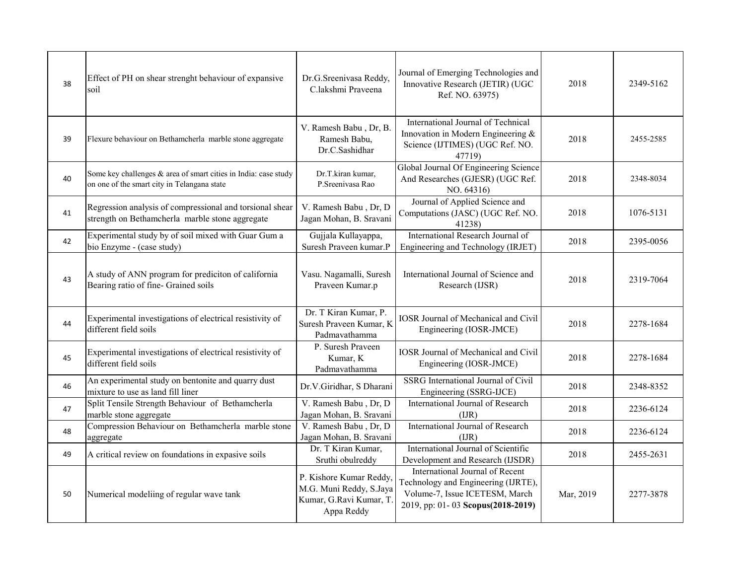| 38 | Effect of PH on shear strenght behaviour of expansive<br>soil                                                  | Dr.G.Sreenivasa Reddy,<br>C.lakshmi Praveena                                                | Journal of Emerging Technologies and<br>Innovative Research (JETIR) (UGC<br>Ref. NO. 63975)                                                   | 2018      | 2349-5162 |
|----|----------------------------------------------------------------------------------------------------------------|---------------------------------------------------------------------------------------------|-----------------------------------------------------------------------------------------------------------------------------------------------|-----------|-----------|
| 39 | Flexure behaviour on Bethamcherla marble stone aggregate                                                       | V. Ramesh Babu, Dr, B.<br>Ramesh Babu,<br>Dr.C.Sashidhar                                    | International Journal of Technical<br>Innovation in Modern Engineering &<br>Science (IJTIMES) (UGC Ref. NO.<br>47719)                         | 2018      | 2455-2585 |
| 40 | Some key challenges & area of smart cities in India: case study<br>on one of the smart city in Telangana state | Dr.T.kiran kumar,<br>P. Sreenivasa Rao                                                      | Global Journal Of Engineering Science<br>And Researches (GJESR) (UGC Ref.<br>NO. 64316)                                                       | 2018      | 2348-8034 |
| 41 | Regression analysis of compressional and torsional shear<br>strength on Bethamcherla marble stone aggregate    | V. Ramesh Babu, Dr, D<br>Jagan Mohan, B. Sravani                                            | Journal of Applied Science and<br>Computations (JASC) (UGC Ref. NO.<br>41238)                                                                 | 2018      | 1076-5131 |
| 42 | Experimental study by of soil mixed with Guar Gum a<br>bio Enzyme - (case study)                               | Gujjala Kullayappa,<br>Suresh Praveen kumar.P                                               | International Research Journal of<br>Engineering and Technology (IRJET)                                                                       | 2018      | 2395-0056 |
| 43 | A study of ANN program for prediciton of california<br>Bearing ratio of fine- Grained soils                    | Vasu. Nagamalli, Suresh<br>Praveen Kumar.p                                                  | International Journal of Science and<br>Research (IJSR)                                                                                       | 2018      | 2319-7064 |
| 44 | Experimental investigations of electrical resistivity of<br>different field soils                              | Dr. T Kiran Kumar, P.<br>Suresh Praveen Kumar, K<br>Padmavathamma                           | <b>IOSR Journal of Mechanical and Civil</b><br>Engineering (IOSR-JMCE)                                                                        | 2018      | 2278-1684 |
| 45 | Experimental investigations of electrical resistivity of<br>different field soils                              | P. Suresh Praveen<br>Kumar, K<br>Padmavathamma                                              | <b>IOSR Journal of Mechanical and Civil</b><br>Engineering (IOSR-JMCE)                                                                        | 2018      | 2278-1684 |
| 46 | An experimental study on bentonite and quarry dust<br>mixture to use as land fill liner                        | Dr.V.Giridhar, S Dharani                                                                    | SSRG International Journal of Civil<br>Engineering (SSRG-IJCE)                                                                                | 2018      | 2348-8352 |
| 47 | Split Tensile Strength Behaviour of Bethamcherla<br>marble stone aggregate                                     | V. Ramesh Babu, Dr, D.<br>Jagan Mohan, B. Sravani                                           | International Journal of Research<br>(IIR)                                                                                                    | 2018      | 2236-6124 |
| 48 | Compression Behaviour on Bethamcherla marble stone<br>aggregate                                                | V. Ramesh Babu, Dr, D.<br>Jagan Mohan, B. Sravani                                           | International Journal of Research<br>(IIR)                                                                                                    | 2018      | 2236-6124 |
| 49 | A critical review on foundations in expasive soils                                                             | Dr. T Kiran Kumar,<br>Sruthi obulreddy                                                      | International Journal of Scientific<br>Development and Research (IJSDR)                                                                       | 2018      | 2455-2631 |
| 50 | Numerical modeliing of regular wave tank                                                                       | P. Kishore Kumar Reddy,<br>M.G. Muni Reddy, S.Jaya<br>Kumar, G.Ravi Kumar, T.<br>Appa Reddy | International Journal of Recent<br>Technology and Engineering (IJRTE),<br>Volume-7, Issue ICETESM, March<br>2019, pp: 01-03 Scopus(2018-2019) | Mar, 2019 | 2277-3878 |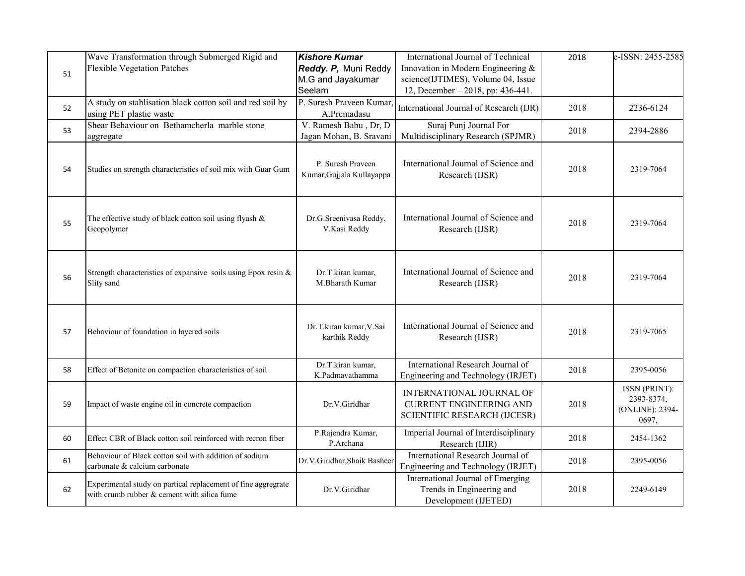| 51 | Wave Transformation through Submerged Rigid and<br><b>Flexible Vegetation Patches</b>                        | <b>Kishore Kumar</b><br>Reddy. P, Muni Reddy<br>M.G and Jayakumar<br>Seelam | International Journal of Technical<br>Innovation in Modern Engineering &<br>science(IJTIMES), Volume 04, Issue<br>12, December - 2018, pp: 436-441. | 2018 | e-ISSN: 2455-2585                                       |
|----|--------------------------------------------------------------------------------------------------------------|-----------------------------------------------------------------------------|-----------------------------------------------------------------------------------------------------------------------------------------------------|------|---------------------------------------------------------|
| 52 | A study on stablisation black cotton soil and red soil by<br>using PET plastic waste                         | P. Suresh Praveen Kumar,<br>A.Premadasu                                     | International Journal of Research (IJR)                                                                                                             | 2018 | 2236-6124                                               |
| 53 | Shear Behaviour on Bethamcherla marble stone<br>aggregate                                                    | V. Ramesh Babu, Dr, D<br>Jagan Mohan, B. Sravani                            | Suraj Punj Journal For<br>Multidisciplinary Research (SPJMR)                                                                                        | 2018 | 2394-2886                                               |
| 54 | Studies on strength characteristics of soil mix with Guar Gum                                                | P. Suresh Praveen<br>Kumar, Gujjala Kullayappa                              | International Journal of Science and<br>Research (IJSR)                                                                                             | 2018 | 2319-7064                                               |
| 55 | The effective study of black cotton soil using flyash $\&$<br>Geopolymer                                     | Dr.G.Sreenivasa Reddy,<br>V.Kasi Reddy                                      | International Journal of Science and<br>Research (IJSR)                                                                                             | 2018 | 2319-7064                                               |
| 56 | Strength characteristics of expansive soils using Epox resin &<br>Slity sand                                 | Dr.T.kiran kumar,<br>M.Bharath Kumar                                        | International Journal of Science and<br>Research (IJSR)                                                                                             | 2018 | 2319-7064                                               |
| 57 | Behaviour of foundation in layered soils                                                                     | Dr.T.kiran kumar, V.Sai<br>karthik Reddy                                    | International Journal of Science and<br>Research (IJSR)                                                                                             | 2018 | 2319-7065                                               |
| 58 | Effect of Betonite on compaction characteristics of soil                                                     | Dr.T.kiran kumar,<br>K.Padmavathamma                                        | International Research Journal of<br>Engineering and Technology (IRJET)                                                                             | 2018 | 2395-0056                                               |
| 59 | Impact of waste engine oil in concrete compaction                                                            | Dr.V.Giridhar                                                               | INTERNATIONAL JOURNAL OF<br><b>CURRENT ENGINEERING AND</b><br><b>SCIENTIFIC RESEARCH (IJCESR)</b>                                                   | 2018 | ISSN (PRINT):<br>2393-8374,<br>(ONLINE): 2394-<br>0697, |
| 60 | Effect CBR of Black cotton soil reinforced with recron fiber                                                 | P.Rajendra Kumar,<br>P.Archana                                              | Imperial Journal of Interdisciplinary<br>Research (IJIR)                                                                                            | 2018 | 2454-1362                                               |
| 61 | Behaviour of Black cotton soil with addition of sodium<br>carbonate & calcium carbonate                      | Dr.V.Giridhar, Shaik Basheer                                                | International Research Journal of<br>Engineering and Technology (IRJET)                                                                             | 2018 | 2395-0056                                               |
| 62 | Experimental study on partical replacement of fine aggregrate<br>with crumb rubber & cement with silica fume | Dr.V.Giridhar                                                               | International Journal of Emerging<br>Trends in Engineering and<br>Development (IJETED)                                                              | 2018 | 2249-6149                                               |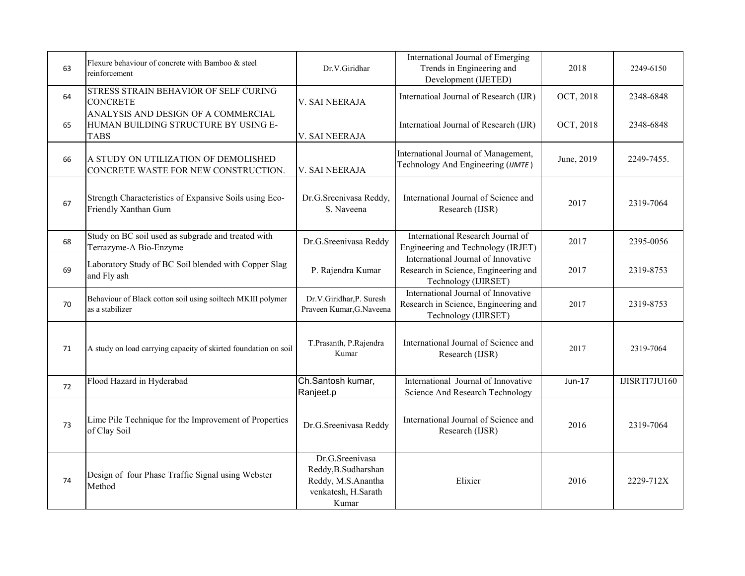| 63 | Flexure behaviour of concrete with Bamboo & steel<br>reinforcement                         | Dr.V.Giridhar                                                                                 | International Journal of Emerging<br>Trends in Engineering and<br>Development (IJETED)              | 2018       | 2249-6150     |
|----|--------------------------------------------------------------------------------------------|-----------------------------------------------------------------------------------------------|-----------------------------------------------------------------------------------------------------|------------|---------------|
| 64 | STRESS STRAIN BEHAVIOR OF SELF CURING<br><b>CONCRETE</b>                                   | V. SAI NEERAJA                                                                                | Internatioal Journal of Research (IJR)                                                              | OCT, 2018  | 2348-6848     |
| 65 | ANALYSIS AND DESIGN OF A COMMERCIAL<br>HUMAN BUILDING STRUCTURE BY USING E-<br><b>TABS</b> | V. SAI NEERAJA                                                                                | Internatioal Journal of Research (IJR)                                                              | OCT, 2018  | 2348-6848     |
| 66 | A STUDY ON UTILIZATION OF DEMOLISHED<br>CONCRETE WASTE FOR NEW CONSTRUCTION.               | V. SAI NEERAJA                                                                                | International Journal of Management,<br>Technology And Engineering (IJMTE)                          | June, 2019 | 2249-7455.    |
| 67 | Strength Characteristics of Expansive Soils using Eco-<br>Friendly Xanthan Gum             | Dr.G.Sreenivasa Reddy,<br>S. Naveena                                                          | International Journal of Science and<br>Research (IJSR)                                             | 2017       | 2319-7064     |
| 68 | Study on BC soil used as subgrade and treated with<br>Terrazyme-A Bio-Enzyme               | Dr.G.Sreenivasa Reddy                                                                         | International Research Journal of<br>Engineering and Technology (IRJET)                             | 2017       | 2395-0056     |
| 69 | Laboratory Study of BC Soil blended with Copper Slag<br>and Fly ash                        | P. Rajendra Kumar                                                                             | International Journal of Innovative<br>Research in Science, Engineering and<br>Technology (IJIRSET) | 2017       | 2319-8753     |
| 70 | Behaviour of Black cotton soil using soiltech MKIII polymer<br>as a stabilizer             | Dr.V.Giridhar,P. Suresh<br>Praveen Kumar, G. Naveena                                          | International Journal of Innovative<br>Research in Science, Engineering and<br>Technology (IJIRSET) | 2017       | 2319-8753     |
| 71 | A study on load carrying capacity of skirted foundation on soil                            | T.Prasanth, P.Rajendra<br>Kumar                                                               | International Journal of Science and<br>Research (IJSR)                                             | 2017       | 2319-7064     |
| 72 | Flood Hazard in Hyderabad                                                                  | Ch.Santosh kumar,<br>Ranjeet.p                                                                | International Journal of Innovative<br>Science And Research Technology                              | Jun-17     | IJISRTI7JU160 |
| 73 | Lime Pile Technique for the Improvement of Properties<br>of Clay Soil                      | Dr.G.Sreenivasa Reddy                                                                         | International Journal of Science and<br>Research (IJSR)                                             | 2016       | 2319-7064     |
| 74 | Design of four Phase Traffic Signal using Webster<br>Method                                | Dr.G.Sreenivasa<br>Reddy, B. Sudharshan<br>Reddy, M.S.Anantha<br>venkatesh, H.Sarath<br>Kumar | Elixier                                                                                             | 2016       | 2229-712X     |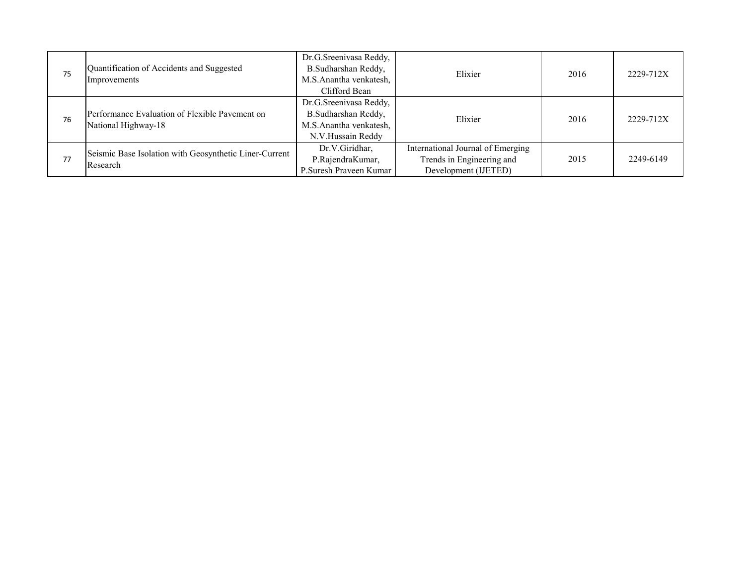| 75 | Quantification of Accidents and Suggested<br>Improvements             | Dr.G.Sreenivasa Reddy,<br>B.Sudharshan Reddy,<br>M.S.Anantha venkatesh,<br>Clifford Bean     | Elixier                                                                                | 2016 | 2229-712X |
|----|-----------------------------------------------------------------------|----------------------------------------------------------------------------------------------|----------------------------------------------------------------------------------------|------|-----------|
| 76 | Performance Evaluation of Flexible Pavement on<br>National Highway-18 | Dr.G.Sreenivasa Reddy,<br>B.Sudharshan Reddy,<br>M.S.Anantha venkatesh,<br>N.V.Hussain Reddy | Elixier                                                                                | 2016 | 2229-712X |
| 77 | Seismic Base Isolation with Geosynthetic Liner-Current<br>Research    | Dr.V.Giridhar,<br>P.RajendraKumar,<br>P. Suresh Praveen Kumar                                | International Journal of Emerging<br>Trends in Engineering and<br>Development (IJETED) | 2015 | 2249-6149 |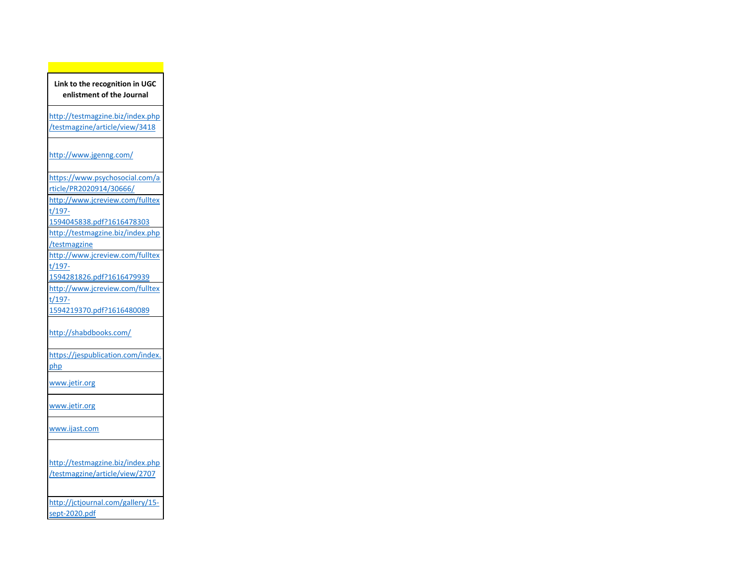**Link to the recognition in UGC enlistment of the Journal**

http://testmagzine.biz/index.php /testmagzine/article/view/3418

http://www.jgenng.com/

https://www.psychosocial.com/a

rticle/PR2020914/30666/ http://www.jcreview.com/fulltex

t/197-

1594045838.pdf?1616478303

http://testmagzine.biz/index.php

/testmagzine

http://www.jcreview.com/fulltex t/197-

1594281826.pdf?1616479939

http://www.jcreview.com/fulltex

t/197-

1594219370.pdf?1616480089

http://shabdbooks.com/

https://jespublication.com/index.

php

www.jetir.org

www.jetir.org

www.ijast.com

http://testmagzine.biz/index.php

/testmagzine/article/view/2707

http://jctjournal.com/gallery/15 sept-2020.pdf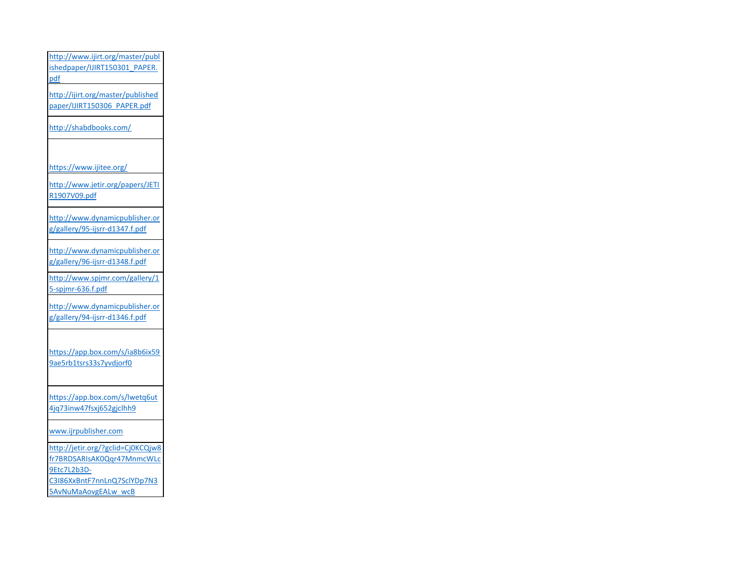http://www.ijirt.org/master/publ ishedpaper/IJIRT150301\_PAPER. pdf http://ijirt.org/master/published

paper/IJIRT150306\_PAPER.pdf

http://shabdbooks.com/

https://www.ijitee.org/

http://www.jetir.org/papers/JETI R1907V09.pdf

http://www.dynamicpublisher.or g/gallery/95-ijsrr-d1347.f.pdf

http://www.dynamicpublisher.or g/gallery/96-ijsrr-d1348.f.pdf

http://www.spjmr.com/gallery/1 5-spjmr-636.f.pdf

http://www.dynamicpublisher.or g/gallery/94-ijsrr-d1346.f.pdf

https://app.box.com/s/ia8b6ix59 9ae5rb1tsrs33s7yvdjorf0

https://app.box.com/s/lwetq6ut 4jq73inw47fsxj652gjclhh9

www.ijrpublisher.com

http://jetir.org/?gclid=Cj0KCQjw8 fr7BRDSARIsAK0Qqr47MnmcWLc 9Etc7L2b3D-C3I86XxBntF7nnLnQ7SclYDp7N3

5AvNuMaAovgEALw\_wcB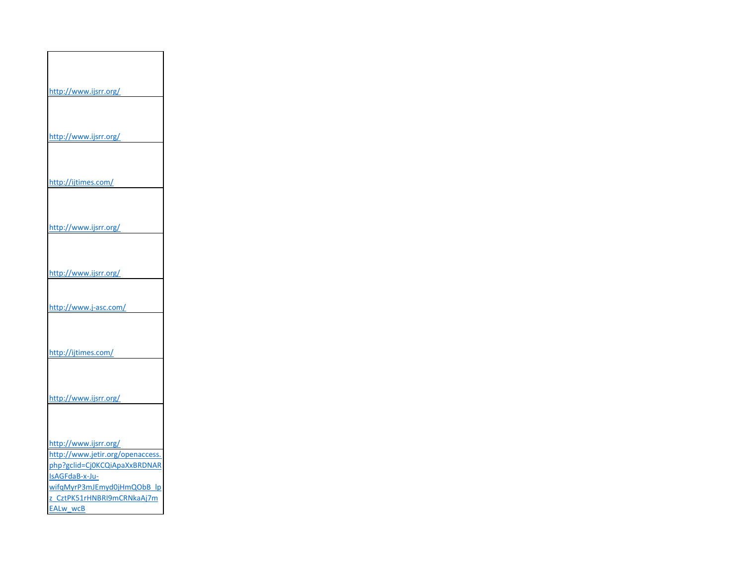| http://www.ijsrr.org/            |  |
|----------------------------------|--|
|                                  |  |
|                                  |  |
|                                  |  |
| http://www.ijsrr.org/            |  |
|                                  |  |
|                                  |  |
|                                  |  |
| http://ijtimes.com/              |  |
|                                  |  |
|                                  |  |
|                                  |  |
| http://www.ijsrr.org/            |  |
|                                  |  |
|                                  |  |
|                                  |  |
| http://www.ijsrr.org/            |  |
|                                  |  |
| http://www.j-asc.com/            |  |
|                                  |  |
|                                  |  |
|                                  |  |
| http://ijtimes.com/              |  |
|                                  |  |
|                                  |  |
|                                  |  |
| http://www.ijsrr.org/            |  |
|                                  |  |
|                                  |  |
|                                  |  |
| http://www.ijsrr.org/            |  |
| http://www.jetir.org/openaccess. |  |
| php?gclid=Cj0KCQiApaXxBRDNAR     |  |
| IsAGFdaB-x-Ju-                   |  |
| wifqMyrP3mJEmyd0jHmQObB lp       |  |
| z CztPK51rHNBRI9mCRNkaAj7m       |  |
| EALw wcB                         |  |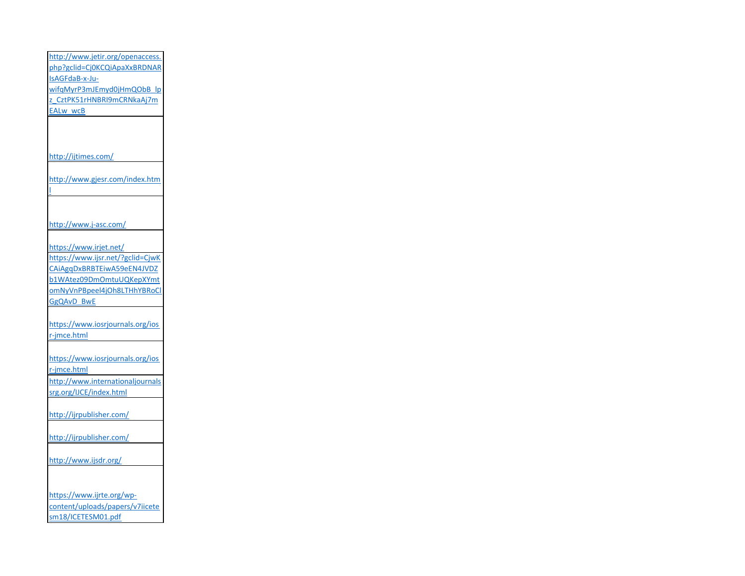http://www.jetir.org/openaccess. php?gclid=Cj0KCQiApaXxBRDNAR IsAGFdaB-x-JuwifqMyrP3mJEmyd0jHmQObB\_lp z\_CztPK51rHNBRI9mCRNkaAj7m EALw\_wcB http://ijtimes.com/ http://www.gjesr.com/index.htm l http://www.j-asc.com/ https://www.irjet.net/ https://www.ijsr.net/?gclid=CjwK CAiAgqDxBRBTEiwA59eEN4JVDZ b1WAtez09DmOmtuUQKepXYmt omNyVnPBpeel4jOh8LTHhYBRoCl GgQAvD\_BwE https://www.iosrjournals.org/ios r-jmce.html https://www.iosrjournals.org/ios r-jmce.html http://www.internationaljournals srg.org/IJCE/index.html http://ijrpublisher.com/ http://ijrpublisher.com/ http://www.ijsdr.org/ https://www.ijrte.org/wpcontent/uploads/papers/v7iicete sm18/ICETESM01.pdf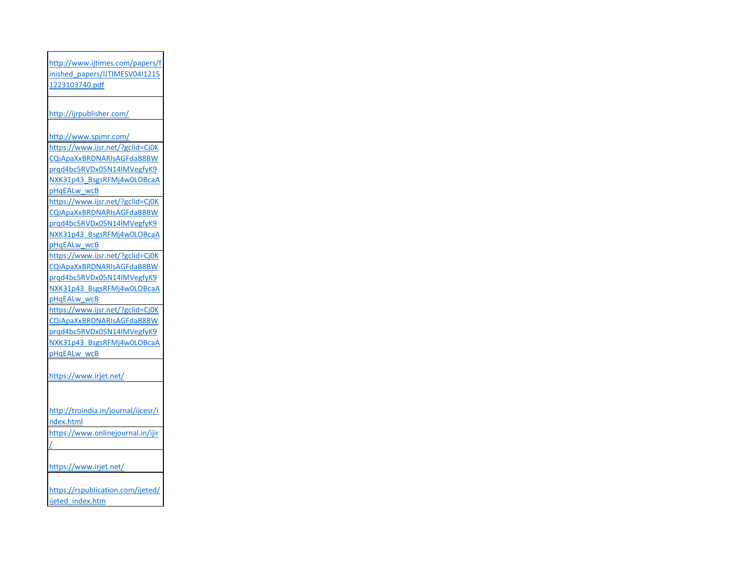http://www.ijtimes.com/papers/f inished\_papers/IJTIMESV04I1215 1223103740.pdf http://ijrpublisher.com/ http://www.spjmr.com/ https://www.ijsr.net/?gclid=Cj0K CQiApaXxBRDNARIsAGFdaB8BW prqd4bc5RVDx05N14lMVegfyK9 NXK31p43\_BsgsRFMj4w0LOBcaA pHqEALw\_wcB https://www.ijsr.net/?gclid=Cj0K CQiApaXxBRDNARIsAGFdaB8BW prqd4bc5RVDx05N14lMVegfyK9 NXK31p43\_BsgsRFMj4w0LOBcaA pHqEALw\_wcB https://www.ijsr.net/?gclid=Cj0K CQiApaXxBRDNARIsAGFdaB8BW prqd4bc5RVDx05N14lMVegfyK9 NXK31p43\_BsgsRFMj4w0LOBcaA pHqEALw\_wcB https://www.ijsr.net/?gclid=Cj0K CQiApaXxBRDNARIsAGFdaB8BW prqd4bc5RVDx05N14lMVegfyK9 NXK31p43\_BsgsRFMj4w0LOBcaA pHqEALw\_wcB https://www.irjet.net/ http://troindia.in/journal/ijcesr/i ndex.html https://www.onlinejournal.in/ijir / https://www.irjet.net/ https://rspublication.com/ijeted/ ijeted\_index.htm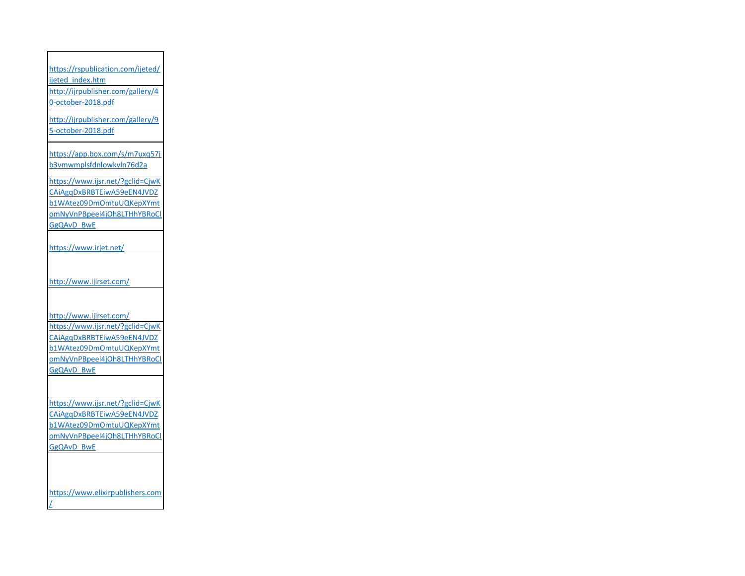https://rspublication.com/ijeted/ ijeted\_index.htm http://ijrpublisher.com/gallery/4 0-october-2018.pdf

http://ijrpublisher.com/gallery/9 5-october-2018.pdf

https://app.box.com/s/m7uxq57j b3vmwmplsfdnlowkvln76d2a

https://www.ijsr.net/?gclid=CjwK CAiAgqDxBRBTEiwA59eEN4JVDZ b1WAtez09DmOmtuUQKepXYmt omNyVnPBpeel4jOh8LTHhYBRoCl GgQAvD\_BwE

https://www.irjet.net/

http://www.ijirset.com/

http://www.ijirset.com/

https://www.ijsr.net/?gclid=CjwK CAiAgqDxBRBTEiwA59eEN4JVDZ b1WAtez09DmOmtuUQKepXYmt omNyVnPBpeel4jOh8LTHhYBRoCl GgQAvD\_BwE

https://www.ijsr.net/?gclid=CjwK CAiAgqDxBRBTEiwA59eEN4JVDZ b1WAtez09DmOmtuUQKepXYmt omNyVnPBpeel4jOh8LTHhYBRoCl GgQAvD\_BwE

https://www.elixirpublishers.com

/